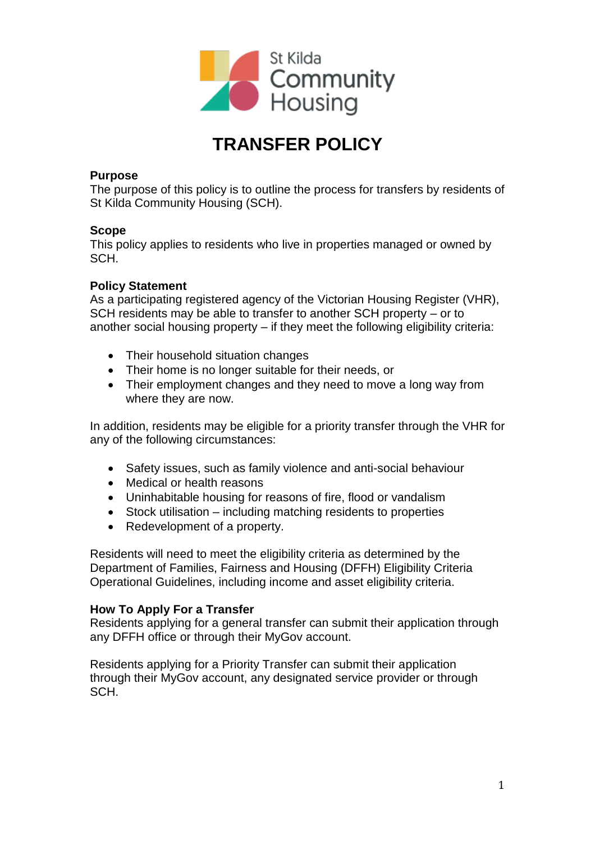

# **TRANSFER POLICY**

## **Purpose**

The purpose of this policy is to outline the process for transfers by residents of St Kilda Community Housing (SCH).

#### **Scope**

This policy applies to residents who live in properties managed or owned by SCH.

#### **Policy Statement**

As a participating registered agency of the Victorian Housing Register (VHR), SCH residents may be able to transfer to another SCH property – or to another social housing property – if they meet the following eligibility criteria:

- Their household situation changes
- Their home is no longer suitable for their needs, or
- Their employment changes and they need to move a long way from where they are now.

In addition, residents may be eligible for a priority transfer through the VHR for any of the following circumstances:

- Safety issues, such as family violence and anti-social behaviour
- Medical or health reasons
- Uninhabitable housing for reasons of fire, flood or vandalism
- Stock utilisation including matching residents to properties
- Redevelopment of a property.

Residents will need to meet the eligibility criteria as determined by the Department of Families, Fairness and Housing (DFFH) Eligibility Criteria Operational Guidelines, including income and asset eligibility criteria.

## **How To Apply For a Transfer**

Residents applying for a general transfer can submit their application through any DFFH office or through their MyGov account.

Residents applying for a Priority Transfer can submit their application through their MyGov account, any designated service provider or through SCH.